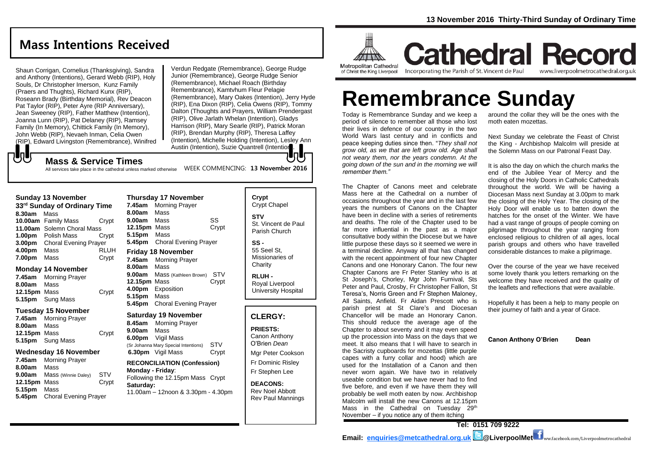# **Mass Intentions Received**

Shaun Corrigan, Cornelius (Thanksgiving), Sandra and Anthony (Intentions), Gerard Webb (RIP), Holy Souls, Dr Christopher Imerson, Kunz Family (Praers and Thughts), Richard Kunx (RIP), Roseann Brady (Birthday Memorial), Rev Deacon Pat Taylor (RIP), Peter Ayre (RIP Anniversary), Jean Sweeney (RIP), Father Matthew (Intention), Joanna Lunn (RIP), Pat Delaney (RIP), Ramsey Family (In Memory), Chittick Family (In Memory), John Webb (RIP), Nevaeh Inman, Celia Owen (RIP), Edward Livingston (Remembrance), Winifred Verdun Redgate (Remembrance), George Rudge Junior (Remembrance), George Rudge Senior (Remembrance), Michael Roach (Birthday Remembrance), Kamtvhum Fleur Pelagie (Remembrance), Mary Oakes (Intention), Jerry Hyde (RIP), Ena Dixon (RIP), Celia Owens (RIP), Tommy Dalton (Thoughts and Prayers, William Prendergast (RIP), Olive Jarlath Whelan (Intention), Gladys Harrison (RIP), Mary Searle (RIP), Patrick Moran (RIP), Brendan Murphy (RIP), Theresa Laffey (Intention), Michelle Holding (Intention), Lesley Ann Austin (Intention), Suzie Quantrell (Intention).

## **Mass & Service Times**

WEEK COMMENCING: **13 November 2016** All services take place in the cathedral unless marked otherwise

**Thursday 17 November** 

#### **Sunday 13 November**

もし

| 33rd Sunday of Ordinary Time |                              |             |  |  |
|------------------------------|------------------------------|-------------|--|--|
| 8.30am                       | Mass                         |             |  |  |
|                              | 10.00am Family Mass          | Crypt       |  |  |
|                              | 11.00am Solemn Choral Mass   |             |  |  |
|                              | <b>1.00pm</b> Polish Mass    | Crvpt       |  |  |
| 3.00 <sub>pm</sub>           | <b>Choral Evening Prayer</b> |             |  |  |
| 4.00pm                       | Mass                         | <b>RLUH</b> |  |  |
| 7.00pm                       | Mass                         | Crypt       |  |  |

#### **Monday 14 November**

| 7.45am       | <b>Morning Prayer</b>   |       |
|--------------|-------------------------|-------|
| 8.00am       | Mass                    |       |
| 12.15pm Mass |                         | Crypt |
|              | <b>5.15pm</b> Sung Mass |       |

#### **Tuesday 15 November**

**7.45am** Morning Prayer **8.00am** Mass **12.15pm** Mass Crypt **5.15pm** Sung Mass

#### **Wednesday 16 November**

**7.45am** Morning Prayer **8.00am** Mass **9.00am** Mass (Winnie Daley) STV **12.15pm** Mass Crypt **5.15pm** Mass **5.45pm** Choral Evening Prayer

| <b>Inursday 17 November</b> |                              |       |  |  |
|-----------------------------|------------------------------|-------|--|--|
| 7.45am                      | <b>Morning Prayer</b>        |       |  |  |
| 8.00am                      | Mass                         |       |  |  |
| 9.00am                      | Mass                         | SS    |  |  |
| 12.15pm Mass                |                              | Crypt |  |  |
| 5.15pm Mass                 |                              |       |  |  |
| 5.45pm                      | <b>Choral Evening Prayer</b> |       |  |  |
|                             | <b>Friday 18 November</b>    |       |  |  |
|                             |                              |       |  |  |
| 7.45am                      | <b>Morning Prayer</b>        |       |  |  |
| 8.00am                      | Mass                         |       |  |  |
| 9.00am                      | Mass (Kathleen Brown)        | STV   |  |  |
| 12.15pm Mass                |                              | Crypt |  |  |
| 4.00pm                      | Exposition                   |       |  |  |

#### **Saturday 19 November**

**5.45pm** Choral Evening Prayer

**8.45am** Morning Prayer **9.00am** Mass **6.00pm** Vigil Mass (Sr Johanna Mary Special Intentions) STV **6.30pm** Vigil Mass Crypt

**RECONCILIATION (Confession) Monday - Friday**: Following the 12.15pm Mass Crypt **Saturday:** 11.00am – 12noon & 3.30pm - 4.30pm

**Crypt**  Crypt Chapel **STV** St. Vincent de Paul Parish Church

**SS -** 55 Seel St, Missionaries of **Charity** 

**RLUH -** Royal Liverpool University Hospital

### **CLERGY:**

**PRIESTS:**

Canon Anthony O'Brien *Dean* Mgr Peter Cookson Fr Dominic Risley

Fr Stephen Lee

**DEACONS:** Rev Noel Abbott Rev Paul Mannings



**Cathedral Record** Incorporating the Parish of St. Vincent de Paul www.liverpoolmetrocathedral.org.uk

# **Remembrance Sunday**

Today is Remembrance Sunday and we keep a period of silence to remember all those who lost their lives in defence of our country in the two World Wars last century and in conflicts and peace keeping duties since then. "*They shall not grow old, as we that are left grow old. Age shall not weary them, nor the years condemn. At the going down of the sun and in the morning we will remember them."*

The Chapter of Canons meet and celebrate Mass here at the Cathedral on a number of occasions throughout the year and in the last few years the numbers of Canons on the Chapter have been in decline with a series of retirements and deaths. The role of the Chapter used to be far more influential in the past as a major consultative body within the Diocese but we have little purpose these days so it seemed we were in a terminal decline. Anyway all that has changed with the recent appointment of four new Chapter Canons and one Honorary Canon. The four new Chapter Canons are Fr Peter Stanley who is at St Joseph's, Chorley, Mgr John Furnival, Sts Peter and Paul, Crosby, Fr Christopher Fallon, St Teresa's, Norris Green and Fr Stephen Maloney, All Saints, Anfield. Fr Aidan Prescott who is parish priest at St Clare's and Diocesan Chancellor will be made an Honorary Canon. This should reduce the average age of the Chapter to about seventy and it may even speed up the procession into Mass on the days that we meet. It also means that I will have to search in the Sacristy cupboards for mozettas (little purple capes with a furry collar and hood) which are used for the Installation of a Canon and then never worn again. We have two in relatively useable condition but we have never had to find five before, and even if we have them they will probably be well moth eaten by now. Archbishop Malcolm will install the new Canons at 12.15pm Mass in the Cathedral on Tuesday 29<sup>th</sup> November – if you notice any of them itching

around the collar they will be the ones with the moth eaten mozettas.

Next Sunday we celebrate the Feast of Christ the King - Archbishop Malcolm will preside at the Solemn Mass on our Patronal Feast Day.

It is also the day on which the church marks the end of the Jubilee Year of Mercy and the closing of the Holy Doors in Catholic Cathedrals throughout the world. We will be having a Diocesan Mass next Sunday at 3.00pm to mark the closing of the Holy Year. The closing of the Holy Door will enable us to batten down the hatches for the onset of the Winter. We have had a vast range of groups of people coming on pilgrimage throughout the year ranging from enclosed religious to children of all ages, local parish groups and others who have travelled considerable distances to make a pilgrimage.

Over the course of the year we have received some lovely thank you letters remarking on the welcome they have received and the quality of the leaflets and reflections that were available.

Hopefully it has been a help to many people on their journey of faith and a year of Grace.

**Canon Anthony O'Brien Dean**